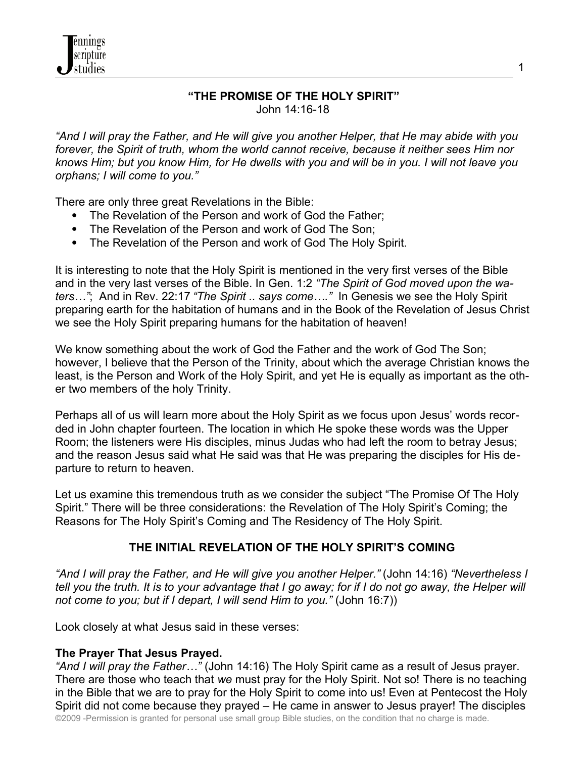

*"And I will pray the Father, and He will give you another Helper, that He may abide with you forever, the Spirit of truth, whom the world cannot receive, because it neither sees Him nor knows Him; but you know Him, for He dwells with you and will be in you. I will not leave you orphans; I will come to you."* 

There are only three great Revelations in the Bible:

nnings cripture studies

- The Revelation of the Person and work of God the Father;
- The Revelation of the Person and work of God The Son:
- The Revelation of the Person and work of God The Holy Spirit.

It is interesting to note that the Holy Spirit is mentioned in the very first verses of the Bible and in the very last verses of the Bible. In Gen. 1:2 *"The Spirit of God moved upon the waters…"*; And in Rev. 22:17 *"The Spirit .. says come…."* In Genesis we see the Holy Spirit preparing earth for the habitation of humans and in the Book of the Revelation of Jesus Christ we see the Holy Spirit preparing humans for the habitation of heaven!

We know something about the work of God the Father and the work of God The Son; however, I believe that the Person of the Trinity, about which the average Christian knows the least, is the Person and Work of the Holy Spirit, and yet He is equally as important as the other two members of the holy Trinity.

Perhaps all of us will learn more about the Holy Spirit as we focus upon Jesus' words recorded in John chapter fourteen. The location in which He spoke these words was the Upper Room; the listeners were His disciples, minus Judas who had left the room to betray Jesus; and the reason Jesus said what He said was that He was preparing the disciples for His departure to return to heaven.

Let us examine this tremendous truth as we consider the subject "The Promise Of The Holy Spirit." There will be three considerations: the Revelation of The Holy Spirit's Coming; the Reasons for The Holy Spirit's Coming and The Residency of The Holy Spirit.

#### **THE INITIAL REVELATION OF THE HOLY SPIRIT'S COMING**

*"And I will pray the Father, and He will give you another Helper."* (John 14:16) *"Nevertheless I tell you the truth. It is to your advantage that I go away; for if I do not go away, the Helper will not come to you; but if I depart, I will send Him to you."* (John 16:7))

Look closely at what Jesus said in these verses:

#### **The Prayer That Jesus Prayed.**

*"And I will pray the Father…"* (John 14:16) The Holy Spirit came as a result of Jesus prayer. There are those who teach that *we* must pray for the Holy Spirit. Not so! There is no teaching in the Bible that we are to pray for the Holy Spirit to come into us! Even at Pentecost the Holy Spirit did not come because they prayed – He came in answer to Jesus prayer! The disciples ©2009 -Permission is granted for personal use small group Bible studies, on the condition that no charge is made.

1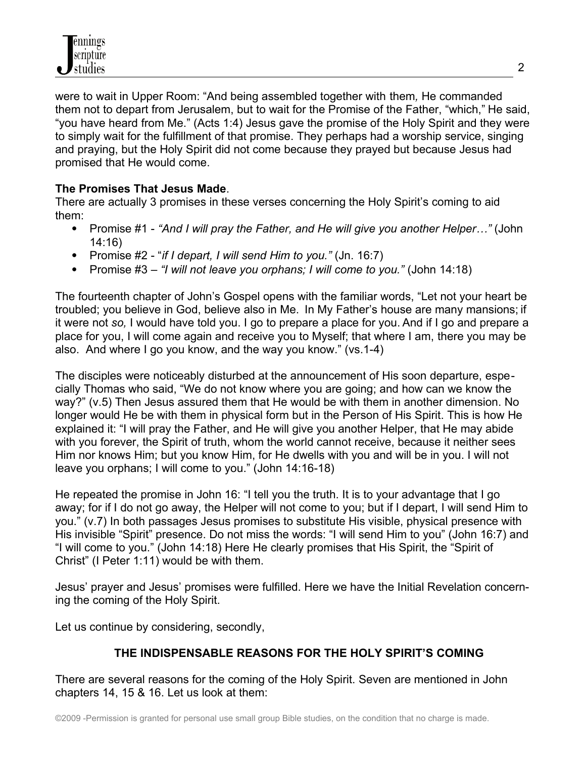were to wait in Upper Room: "And being assembled together with them*,* He commanded them not to depart from Jerusalem, but to wait for the Promise of the Father, "which," He said, "you have heard from Me." (Acts 1:4) Jesus gave the promise of the Holy Spirit and they were to simply wait for the fulfillment of that promise. They perhaps had a worship service, singing and praying, but the Holy Spirit did not come because they prayed but because Jesus had promised that He would come.

# **The Promises That Jesus Made**.

There are actually 3 promises in these verses concerning the Holy Spirit's coming to aid them:

- Promise #1 *"And I will pray the Father, and He will give you another Helper…"* (John 14:16)
- Promise #2 "*if I depart, I will send Him to you."* (Jn. 16:7)
- Promise #3 *– "I will not leave you orphans; I will come to you."* (John 14:18)

The fourteenth chapter of John's Gospel opens with the familiar words, "Let not your heart be troubled; you believe in God, believe also in Me. In My Father's house are many mansions; if it were not *so,* I would have told you. I go to prepare a place for you. And if I go and prepare a place for you, I will come again and receive you to Myself; that where I am, there you may be also. And where I go you know, and the way you know." (vs.1-4)

The disciples were noticeably disturbed at the announcement of His soon departure, especially Thomas who said, "We do not know where you are going; and how can we know the way?" (v.5) Then Jesus assured them that He would be with them in another dimension. No longer would He be with them in physical form but in the Person of His Spirit. This is how He explained it: "I will pray the Father, and He will give you another Helper, that He may abide with you forever, the Spirit of truth, whom the world cannot receive, because it neither sees Him nor knows Him; but you know Him, for He dwells with you and will be in you. I will not leave you orphans; I will come to you." (John 14:16-18)

He repeated the promise in John 16: "I tell you the truth. It is to your advantage that I go away; for if I do not go away, the Helper will not come to you; but if I depart, I will send Him to you." (v.7) In both passages Jesus promises to substitute His visible, physical presence with His invisible "Spirit" presence. Do not miss the words: "I will send Him to you" (John 16:7) and "I will come to you." (John 14:18) Here He clearly promises that His Spirit, the "Spirit of Christ" (I Peter 1:11) would be with them.

Jesus' prayer and Jesus' promises were fulfilled. Here we have the Initial Revelation concerning the coming of the Holy Spirit.

Let us continue by considering, secondly,

# **THE INDISPENSABLE REASONS FOR THE HOLY SPIRIT'S COMING**

There are several reasons for the coming of the Holy Spirit. Seven are mentioned in John chapters 14, 15 & 16. Let us look at them: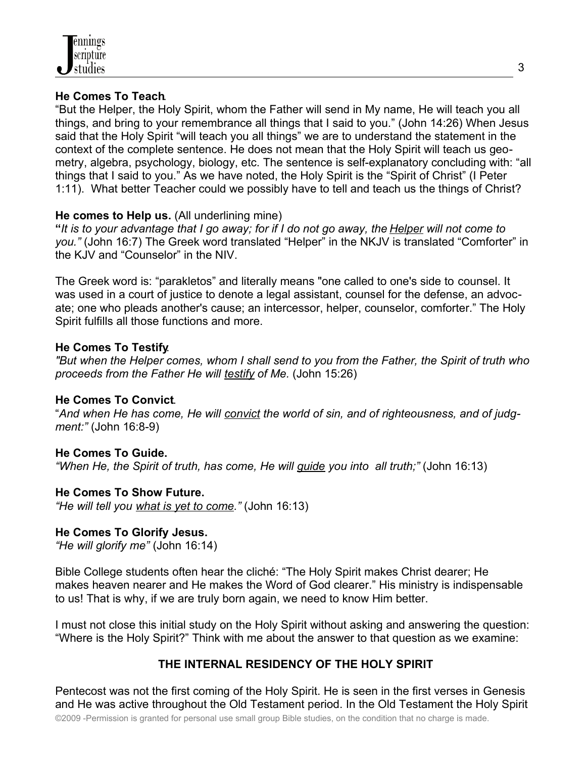

#### **He Comes To Teach**.

"But the Helper, the Holy Spirit, whom the Father will send in My name, He will teach you all things, and bring to your remembrance all things that I said to you." (John 14:26) When Jesus said that the Holy Spirit "will teach you all things" we are to understand the statement in the context of the complete sentence. He does not mean that the Holy Spirit will teach us geometry, algebra, psychology, biology, etc. The sentence is self-explanatory concluding with: "all things that I said to you." As we have noted, the Holy Spirit is the "Spirit of Christ" (I Peter 1:11). What better Teacher could we possibly have to tell and teach us the things of Christ?

#### **He comes to Help us.** (All underlining mine)

**"***It is to your advantage that I go away; for if I do not go away, the Helper will not come to you."* (John 16:7) The Greek word translated "Helper" in the NKJV is translated "Comforter" in the KJV and "Counselor" in the NIV.

The Greek word is: "parakletos" and literally means "one called to one's side to counsel. It was used in a court of justice to denote a legal assistant, counsel for the defense, an advocate; one who pleads another's cause; an intercessor, helper, counselor, comforter." The Holy Spirit fulfills all those functions and more.

#### **He Comes To Testify**.

*"But when the Helper comes, whom I shall send to you from the Father, the Spirit of truth who proceeds from the Father He will testify of Me.* (John 15:26)

#### **He Comes To Convict**.

"*And when He has come, He will convict the world of sin, and of righteousness, and of judgment:"* (John 16:8-9)

#### **He Comes To Guide.**

*"When He, the Spirit of truth, has come, He will guide you into all truth;"* (John 16:13)

#### **He Comes To Show Future.**

*"He will tell you what is yet to come."* (John 16:13)

#### **He Comes To Glorify Jesus.**

*"He will glorify me"* (John 16:14)

Bible College students often hear the cliché: "The Holy Spirit makes Christ dearer; He makes heaven nearer and He makes the Word of God clearer." His ministry is indispensable to us! That is why, if we are truly born again, we need to know Him better.

I must not close this initial study on the Holy Spirit without asking and answering the question: "Where is the Holy Spirit?" Think with me about the answer to that question as we examine:

### **THE INTERNAL RESIDENCY OF THE HOLY SPIRIT**

Pentecost was not the first coming of the Holy Spirit. He is seen in the first verses in Genesis and He was active throughout the Old Testament period. In the Old Testament the Holy Spirit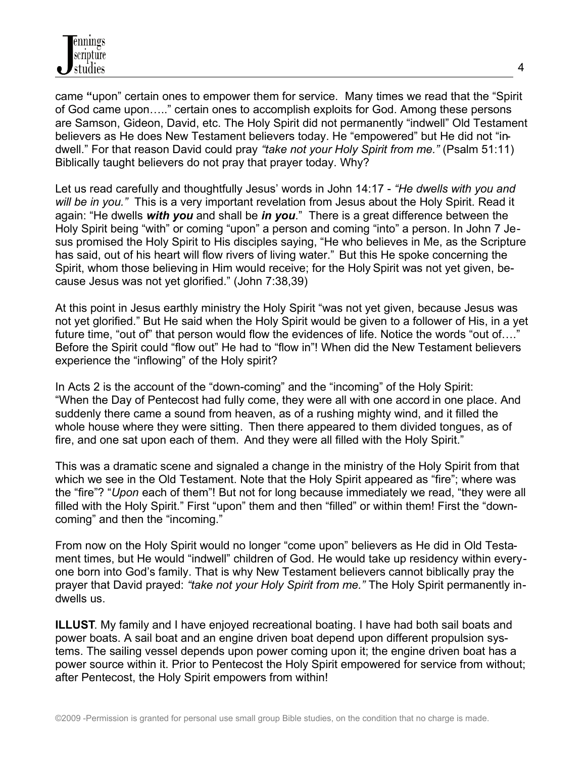came **"**upon" certain ones to empower them for service. Many times we read that the "Spirit of God came upon….." certain ones to accomplish exploits for God. Among these persons are Samson, Gideon, David, etc. The Holy Spirit did not permanently "indwell" Old Testament believers as He does New Testament believers today. He "empowered" but He did not "indwell." For that reason David could pray *"take not your Holy Spirit from me."* (Psalm 51:11) Biblically taught believers do not pray that prayer today. Why?

Let us read carefully and thoughtfully Jesus' words in John 14:17 - *"He dwells with you and will be in you."* This is a very important revelation from Jesus about the Holy Spirit. Read it again: "He dwells *with you* and shall be *in you*." There is a great difference between the Holy Spirit being "with" or coming "upon" a person and coming "into" a person. In John 7 Jesus promised the Holy Spirit to His disciples saying, "He who believes in Me, as the Scripture has said, out of his heart will flow rivers of living water." But this He spoke concerning the Spirit, whom those believing in Him would receive; for the Holy Spirit was not yet given, because Jesus was not yet glorified." (John 7:38,39)

At this point in Jesus earthly ministry the Holy Spirit "was not yet given, because Jesus was not yet glorified." But He said when the Holy Spirit would be given to a follower of His, in a yet future time, "out of" that person would flow the evidences of life. Notice the words "out of…." Before the Spirit could "flow out" He had to "flow in"! When did the New Testament believers experience the "inflowing" of the Holy spirit?

In Acts 2 is the account of the "down-coming" and the "incoming" of the Holy Spirit: "When the Day of Pentecost had fully come, they were all with one accord in one place. And suddenly there came a sound from heaven, as of a rushing mighty wind, and it filled the whole house where they were sitting. Then there appeared to them divided tongues, as of fire, and one sat upon each of them. And they were all filled with the Holy Spirit."

This was a dramatic scene and signaled a change in the ministry of the Holy Spirit from that which we see in the Old Testament. Note that the Holy Spirit appeared as "fire"; where was the "fire"? "*Upon* each of them"! But not for long because immediately we read, "they were all filled with the Holy Spirit." First "upon" them and then "filled" or within them! First the "downcoming" and then the "incoming."

From now on the Holy Spirit would no longer "come upon" believers as He did in Old Testament times, but He would "indwell" children of God. He would take up residency within everyone born into God's family. That is why New Testament believers cannot biblically pray the prayer that David prayed: *"take not your Holy Spirit from me."* The Holy Spirit permanently indwells us.

**ILLUST**. My family and I have enjoyed recreational boating. I have had both sail boats and power boats. A sail boat and an engine driven boat depend upon different propulsion systems. The sailing vessel depends upon power coming upon it; the engine driven boat has a power source within it. Prior to Pentecost the Holy Spirit empowered for service from without; after Pentecost, the Holy Spirit empowers from within!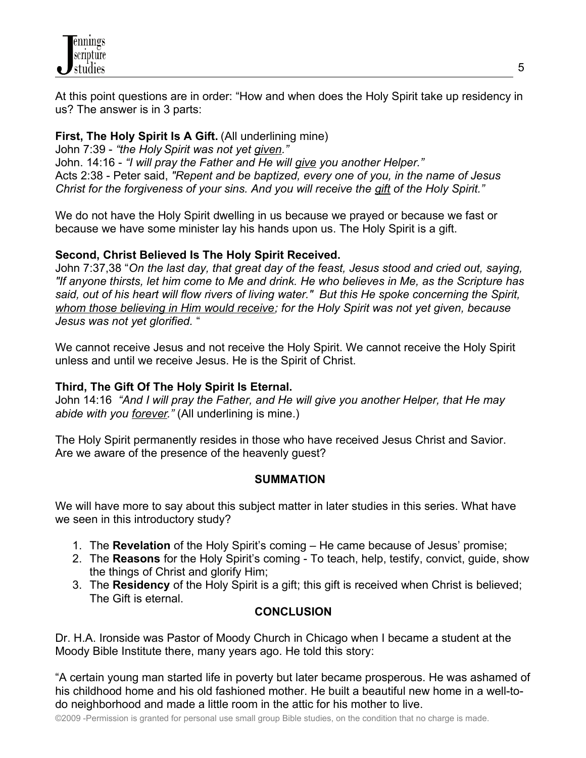At this point questions are in order: "How and when does the Holy Spirit take up residency in us? The answer is in 3 parts:

# **First, The Holy Spirit Is A Gift.** (All underlining mine)

John 7:39 - *"the Holy Spirit was not yet given."* John. 14:16 - *"I will pray the Father and He will give you another Helper."* Acts 2:38 - Peter said, *"Repent and be baptized, every one of you, in the name of Jesus Christ for the forgiveness of your sins. And you will receive the gift of the Holy Spirit."*

We do not have the Holy Spirit dwelling in us because we prayed or because we fast or because we have some minister lay his hands upon us. The Holy Spirit is a gift.

# **Second, Christ Believed Is The Holy Spirit Received.**

John 7:37,38 "*On the last day, that great day of the feast, Jesus stood and cried out, saying, "If anyone thirsts, let him come to Me and drink. He who believes in Me, as the Scripture has said, out of his heart will flow rivers of living water." But this He spoke concerning the Spirit, whom those believing in Him would receive; for the Holy Spirit was not yet given, because Jesus was not yet glorified.* "

We cannot receive Jesus and not receive the Holy Spirit. We cannot receive the Holy Spirit unless and until we receive Jesus. He is the Spirit of Christ.

### **Third, The Gift Of The Holy Spirit Is Eternal.**

John 14:16 *"And I will pray the Father, and He will give you another Helper, that He may abide with you forever."* (All underlining is mine.)

The Holy Spirit permanently resides in those who have received Jesus Christ and Savior. Are we aware of the presence of the heavenly guest?

### **SUMMATION**

We will have more to say about this subject matter in later studies in this series. What have we seen in this introductory study?

- 1. The **Revelation** of the Holy Spirit's coming He came because of Jesus' promise;
- 2. The **Reasons** for the Holy Spirit's coming To teach, help, testify, convict, guide, show the things of Christ and glorify Him;
- 3. The **Residency** of the Holy Spirit is a gift; this gift is received when Christ is believed; The Gift is eternal.

# **CONCLUSION**

Dr. H.A. Ironside was Pastor of Moody Church in Chicago when I became a student at the Moody Bible Institute there, many years ago. He told this story:

"A certain young man started life in poverty but later became prosperous. He was ashamed of his childhood home and his old fashioned mother. He built a beautiful new home in a well-todo neighborhood and made a little room in the attic for his mother to live.